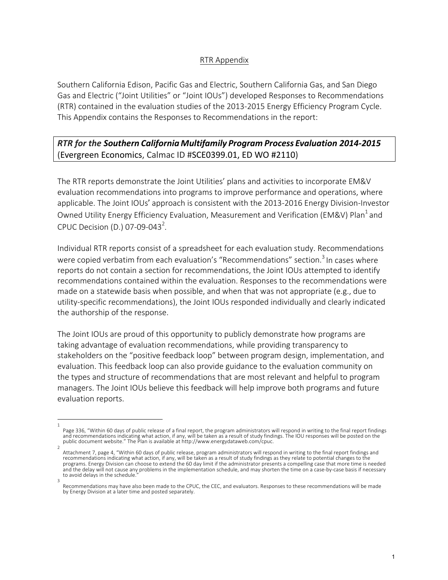## RTR Appendix

Southern California Edison, Pacific Gas and Electric, Southern California Gas, and San Diego Gas and Electric ("Joint Utilities" or "Joint IOUs") developed Responses to Recommendations (RTR) contained in the evaluation studies of the 2013-2015 Energy Efficiency Program Cycle. This Appendix contains the Responses to Recommendations in the report:

*RTR for the Southern California Multifamily Program Process Evaluation 2014-2015* (Evergreen Economics, Calmac ID #SCE0399.01, ED WO #2110)

The RTR reports demonstrate the Joint Utilities' plans and activities to incorporate EM&V evaluation recommendations into programs to improve performance and operations, where applicable. The Joint IOUs' approach is consistent with the 2013-2016 Energy Division-Investor Owned Utility Energy Efficiency Evaluation, Measurement and Verification (EM&V) Plan<sup>1</sup> and CPUC Decision (D.) 07-09-043<sup>2</sup>.

Individual RTR reports consist of a spreadsheet for each evaluation study. Recommendations were copied verbatim from each evaluation's "Recommendations" section.<sup>3</sup> In cases where reports do not contain a section for recommendations, the Joint IOUs attempted to identify recommendations contained within the evaluation. Responses to the recommendations were made on a statewide basis when possible, and when that was not appropriate  $(e.g.,$  due to utility-specific recommendations), the Joint IOUs responded individually and clearly indicated the authorship of the response.

The Joint IOUs are proud of this opportunity to publicly demonstrate how programs are taking advantage of evaluation recommendations, while providing transparency to stakeholders on the "positive feedback loop" between program design, implementation, and evaluation. This feedback loop can also provide guidance to the evaluation community on the types and structure of recommendations that are most relevant and helpful to program managers. The Joint IOUs believe this feedback will help improve both programs and future evaluation reports.

<sup>1</sup>  Page 336, "Within 60 days of public release of a final report, the program administrators will respond in writing to the final report findings and recommendations indicating what action, if any, will be taken as a result of study findings. The IOU responses will be posted on the public document website." The Plan is available at http://www.energydataweb.com/cpuc.

<sup>2</sup>  Attachment 7, page 4, "Within 60 days of public release, program administrators will respond in writing to the final report findings and recommendations indicating what action, if any, will be taken as a result of study findings as they relate to potential changes to the programs. Energy Division can choose to extend the 60 day limit if the administrator presents a compelling case that more time is needed and the delay will not cause any problems in the implementation schedule, and may shorten the time on a case-by-case basis if necessary to avoid delays in the schedule. 3 

Recommendations may have also been made to the CPUC, the CEC, and evaluators. Responses to these recommendations will be made by Energy Division at a later time and posted separately.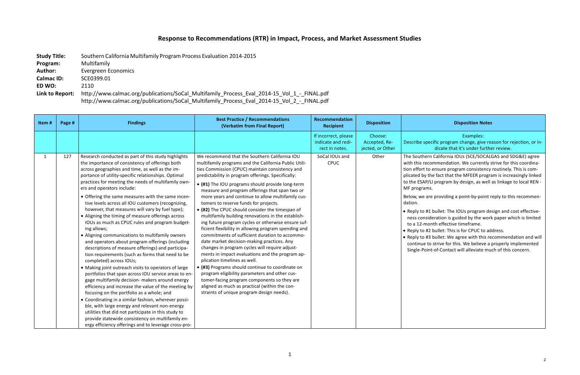## **Disposition Notes**

## **Response to Recommendations (RTR) in Impact, Process, and Market Assessment Studies**

| <b>Study Title:</b> | Southern California Multifamily Program Process Evaluation 2014-2015                        |  |  |  |
|---------------------|---------------------------------------------------------------------------------------------|--|--|--|
| Program:            | Multifamily                                                                                 |  |  |  |
| <b>Author:</b>      | Evergreen Economics                                                                         |  |  |  |
| <b>Calmac ID:</b>   | SCE0399.01                                                                                  |  |  |  |
| ED WO:              | 2110                                                                                        |  |  |  |
| Link to Report:     | http://www.calmac.org/publications/SoCal Multifamily Process Eval 2014-15 Vol 1 - FINAL.pdf |  |  |  |
|                     | http://www.calmac.org/publications/SoCal_Multifamily_Process_Eval_2014-15_Vol_2_-_FINAL.pdf |  |  |  |

## Examples:

ecific program change, give reason for rejection, or indicate that it's under further review.

ern California IOUs (SCE/SOCALGAS and SDG&E) agree commendation. We currently strive for this coordinato ensure program consistency routinely. This is comthe fact that the MFEER program is increasingly linked  $P/LI$  program by design, as well as linkage to local REN ms.

are providing a point-by-point reply to this recommen-

#1 bullet: The IOUs program design and cost effectivesideration is guided by the work paper which is limited nonth effective timeframe.

#2 bullet: This is for CPUC to address.

#3 bullet: We agree with this recommendation and will to strive for this. We believe a properly implemented int-of-Contact will alleviate much of this concern.

| Item# | Page # | <b>Findings</b>                                                                                                                                                                                                                                                                                                                                                                                                                                                                                                                                                                                                                                                                                                                                                                                                                                                                                                                                                                                                                                                                                                                                                                                                                                                                                                                                                                          | <b>Best Practice / Recommendations</b><br>(Verbatim from Final Report)                                                                                                                                                                                                                                                                                                                                                                                                                                                                                                                                                                                                                                                                                                                                                                                                                                                                                                                                                                                                                                                            | Recommendation<br><b>Recipient</b>                           | <b>Disposition</b>                           |                                                                                                                                                                                                                                                       |
|-------|--------|------------------------------------------------------------------------------------------------------------------------------------------------------------------------------------------------------------------------------------------------------------------------------------------------------------------------------------------------------------------------------------------------------------------------------------------------------------------------------------------------------------------------------------------------------------------------------------------------------------------------------------------------------------------------------------------------------------------------------------------------------------------------------------------------------------------------------------------------------------------------------------------------------------------------------------------------------------------------------------------------------------------------------------------------------------------------------------------------------------------------------------------------------------------------------------------------------------------------------------------------------------------------------------------------------------------------------------------------------------------------------------------|-----------------------------------------------------------------------------------------------------------------------------------------------------------------------------------------------------------------------------------------------------------------------------------------------------------------------------------------------------------------------------------------------------------------------------------------------------------------------------------------------------------------------------------------------------------------------------------------------------------------------------------------------------------------------------------------------------------------------------------------------------------------------------------------------------------------------------------------------------------------------------------------------------------------------------------------------------------------------------------------------------------------------------------------------------------------------------------------------------------------------------------|--------------------------------------------------------------|----------------------------------------------|-------------------------------------------------------------------------------------------------------------------------------------------------------------------------------------------------------------------------------------------------------|
|       |        |                                                                                                                                                                                                                                                                                                                                                                                                                                                                                                                                                                                                                                                                                                                                                                                                                                                                                                                                                                                                                                                                                                                                                                                                                                                                                                                                                                                          |                                                                                                                                                                                                                                                                                                                                                                                                                                                                                                                                                                                                                                                                                                                                                                                                                                                                                                                                                                                                                                                                                                                                   | If incorrect, please<br>indicate and redi-<br>rect in notes. | Choose:<br>Accepted, Re-<br>jected, or Other | Describe sp                                                                                                                                                                                                                                           |
| 1     | 127    | Research conducted as part of this study highlights<br>the importance of consistency of offerings both<br>across geographies and time, as well as the im-<br>portance of utility-specific relationships. Optimal<br>practices for meeting the needs of multifamily own-<br>ers and operators include:<br>• Offering the same measures with the same incen-<br>tive levels across all IOU customers (recognizing,<br>however, that measures will vary by fuel type);<br>• Aligning the timing of measure offerings across<br>IOUs as much as CPUC rules and program budget-<br>ing allows;<br>• Aligning communications to multifamily owners<br>and operators about program offerings (including<br>descriptions of measure offerings) and participa-<br>tion requirements (such as forms that need to be<br>completed) across IOUs;<br>• Making joint outreach visits to operators of large<br>portfolios that span across IOU service areas to en-<br>gage multifamily decision- makers around energy<br>efficiency and increase the value of the meeting by<br>focusing on the portfolio as a whole; and<br>• Coordinating in a similar fashion, wherever possi-<br>ble, with large energy and relevant non-energy<br>utilities that did not participate in this study to<br>provide statewide consistency on multifamily en-<br>ergy efficiency offerings and to leverage cross-pro- | We recommend that the Southern California IOU<br>multifamily programs and the California Public Utili-<br>ties Commission (CPUC) maintain consistency and<br>predictability in program offerings. Specifically:<br>• (#1) The IOU programs should provide long-term<br>measure and program offerings that span two or<br>more years and continue to allow multifamily cus-<br>tomers to reserve funds for projects.<br>• (#2) The CPUC should consider the timespan of<br>multifamily building renovations in the establish-<br>ing future program cycles or otherwise ensure suf-<br>ficient flexibility in allowing program spending and<br>commitments of sufficient duration to accommo-<br>date market decision-making practices. Any<br>changes in program cycles will require adjust-<br>ments in impact evaluations and the program ap-<br>plication timelines as well.<br>• (#3) Programs should continue to coordinate on<br>program eligibility parameters and other cus-<br>tomer-facing program components so they are<br>aligned as much as practical (within the con-<br>straints of unique program design needs). | SoCal IOUs and<br>CPUC                                       | Other                                        | The Souther<br>with this red<br>tion effort to<br>plicated by t<br>to the ESAP<br>MF program<br>Below, we a<br>dation.<br>$\bullet$ Reply to #<br>ness consi<br>to a 12-m<br>$\bullet$ Reply to #<br>$\bullet$ Reply to #<br>continue t<br>Single-Poi |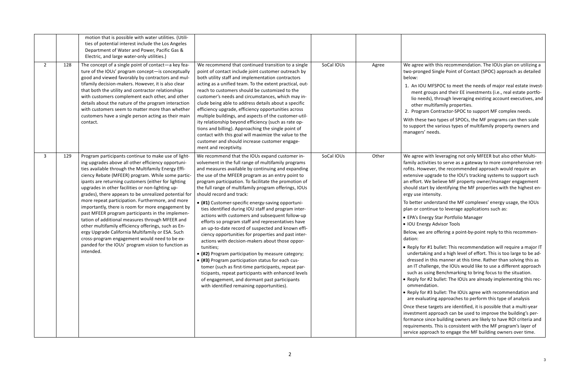vith this recommendation. The IOUs plan on utilizing a ed Single Point of Contact (SPOC) approach as detailed

MFSPOC to meet the needs of major real estate investroups and their EE investments (i.e., real estate portfods), through leveraging existing account executives, and nultifamily properties.

m Contractor-SPOC to support MF complex needs.

two types of SPOCs, the MF programs can then scale the various types of multifamily property owners and needs.

vith leveraging not only MFEER but also other Multivities to serve as a gateway to more comprehensive retrever, the recommended approach would require an pgrade to the IOU's tracking systems to support such Ve believe MF property owner/manager engagement t by identifying the MF properties with the highest entensity.

nderstand the MF complexes' energy usage, the IOUs tinue to leverage applications such as:

rgy Star Portfolio Manager

gy Advisor Tools

are offering a point-by-point reply to this recommen-

#1 bullet: This recommendation will require a major IT ing and a high level of effort. This is too large to be adn this manner at this time. Rather than solving this as llenge, the IOUs would like to use a different approach sing Benchmarking to bring focus to the situation. #2 bullet: The IOUs are already implementing this recation.

#3 bullet: The IOUs agree with recommendation and ating approaches to perform this type of analysis

targets are identified, it is possible that a multi-year approach can be used to improve the building's perince building owners are likely to have ROI criteria and nts. This is consistent with the MF program's layer of roach to engage the MF building owners over time.

|              |     | motion that is possible with water utilities. (Utili-<br>ties of potential interest include the Los Angeles<br>Department of Water and Power, Pacific Gas &<br>Electric, and large water-only utilities.)                                                                                                                                                                                                                                                                                                                                                                                                                                                                                                                                                                                                                                |                                                                                                                                                                                                                                                                                                                                                                                                                                                                                                                                                                                                                                                                                                                                                                                                                                                                                                                                                                                                                                                                                     |            |       |                                                                                                                                                                                                                                                                                                                                                                                                               |
|--------------|-----|------------------------------------------------------------------------------------------------------------------------------------------------------------------------------------------------------------------------------------------------------------------------------------------------------------------------------------------------------------------------------------------------------------------------------------------------------------------------------------------------------------------------------------------------------------------------------------------------------------------------------------------------------------------------------------------------------------------------------------------------------------------------------------------------------------------------------------------|-------------------------------------------------------------------------------------------------------------------------------------------------------------------------------------------------------------------------------------------------------------------------------------------------------------------------------------------------------------------------------------------------------------------------------------------------------------------------------------------------------------------------------------------------------------------------------------------------------------------------------------------------------------------------------------------------------------------------------------------------------------------------------------------------------------------------------------------------------------------------------------------------------------------------------------------------------------------------------------------------------------------------------------------------------------------------------------|------------|-------|---------------------------------------------------------------------------------------------------------------------------------------------------------------------------------------------------------------------------------------------------------------------------------------------------------------------------------------------------------------------------------------------------------------|
| $2^{\circ}$  | 128 | The concept of a single point of contact-a key fea-<br>ture of the IOUs' program concept-is conceptually<br>good and viewed favorably by contractors and mul-<br>tifamily decision-makers. However, it is also clear<br>that both the utility and contractor relationships<br>with customers complement each other, and other<br>details about the nature of the program interaction<br>with customers seem to matter more than whether<br>customers have a single person acting as their main<br>contact.                                                                                                                                                                                                                                                                                                                               | We recommend that continued transition to a single<br>point of contact include joint customer outreach by<br>both utility staff and implementation contractors<br>acting as a unified team. To the extent practical, out-<br>reach to customers should be customized to the<br>customer's needs and circumstances, which may in-<br>clude being able to address details about a specific<br>efficiency upgrade, efficiency opportunities across<br>multiple buildings, and aspects of the customer-util-<br>ity relationship beyond efficiency (such as rate op-<br>tions and billing). Approaching the single point of<br>contact with this goal will maximize the value to the<br>customer and should increase customer engage-<br>ment and receptivity.                                                                                                                                                                                                                                                                                                                          | SoCal IOUs | Agree | We agree w<br>two-pronge<br>below:<br>1. An IOU<br>ment gr<br>lio neec<br>other m<br>2. Progran<br>With these<br>to support t<br>managers'                                                                                                                                                                                                                                                                    |
| $\mathbf{3}$ | 129 | Program participants continue to make use of light-<br>ing upgrades above all other efficiency opportuni-<br>ties available through the Multifamily Energy Effi-<br>ciency Rebate (MFEER) program. While some partic-<br>ipants are returning customers (either for lighting<br>upgrades in other facilities or non-lighting up-<br>grades), there appears to be unrealized potential for<br>more repeat participation. Furthermore, and more<br>importantly, there is room for more engagement by<br>past MFEER program participants in the implemen-<br>tation of additional measures through MFEER and<br>other multifamily efficiency offerings, such as En-<br>ergy Upgrade California Multifamily or ESA. Such<br>cross-program engagement would need to be ex-<br>panded for the IOUs' program vision to function as<br>intended. | We recommend that the IOUs expand customer in-<br>volvement in the full range of multifamily programs<br>and measures available by continuing and expanding<br>the use of the MFEER program as an entry point to<br>program participation. To facilitate the promotion of<br>the full range of multifamily program offerings, IOUs<br>should record and track:<br>• (#1) Customer-specific energy-saving opportuni-<br>ties identified during IOU staff and program inter-<br>actions with customers and subsequent follow-up<br>efforts so program staff and representatives have<br>an up-to-date record of suspected and known effi-<br>ciency opportunities for properties and past inter-<br>actions with decision-makers about those oppor-<br>tunities;<br>• (#2) Program participation by measure category;<br>• (#3) Program participation status for each cus-<br>tomer (such as first-time participants, repeat par-<br>ticipants, repeat participants with enhanced levels<br>of engagement, and dormant past participants<br>with identified remaining opportunities). | SoCal IOUs | Other | We agree w<br>family activ<br>rofits. Howe<br>extensive u<br>an effort. W<br>should start<br>ergy use int<br>To better ur<br>plan or con<br>• EPA's Ene<br>· IOU Energ<br>Below, we a<br>dation:<br>• Reply for<br>undertaki<br>dressed in<br>an IT chal<br>such as us<br>• Reply for<br>ommenda<br>$\bullet$ Reply for<br>are evalua<br>Once these<br>investment<br>formance si<br>requiremer<br>service app |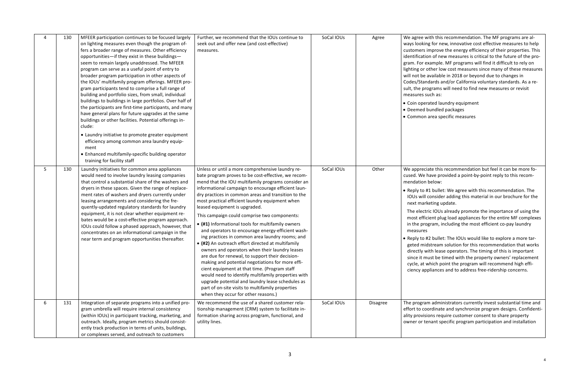with this recommendation. The MF programs are aling for new, innovative cost effective measures to help improve the energy efficiency of their properties. This ion of new measures is critical to the future of the proexample. MF programs will find it difficult to rely on other low cost measures since many of these measures available in 2018 or beyond due to changes in ndards and/or California voluntary standards. As a rerograms will need to find new measures or revisit such as:

erated laundry equipment bundled packages area specific measures

ciate this recommendation but feel it can be more fo $h$  have provided a point-by-point reply to this recombelow:

#1 bullet: We agree with this recommendation. The consider adding this material in our brochure for the rketing update.

tric IOUs already promote the importance of using the icient plug load appliances for the entire MF complexes ogram, including the most efficient co-pay laundry

#2 bullet: The IOUs would like to explore a more taridstream solution for this recommendation that works with lease operators. The timing of this is important nust be timed with the property owners' replacement which point the program will recommend high effippliances and to address free-ridership concerns.

am administrators currently invest substantial time and oordinate and synchronize program designs. Confidentisions require customer consent to share property tenant specific program participation and installation

| 4 | 130 | MFEER participation continues to be focused largely<br>on lighting measures even though the program of-<br>fers a broader range of measures. Other efficiency<br>opportunities-if they exist in these buildings-<br>seem to remain largely unaddressed. The MFEER<br>program can serve as a useful point of entry to<br>broader program participation in other aspects of<br>the IOUs' multifamily program offerings. MFEER pro-<br>gram participants tend to comprise a full range of<br>building and portfolio sizes, from small, individual<br>buildings to buildings in large portfolios. Over half of<br>the participants are first-time participants, and many<br>have general plans for future upgrades at the same<br>buildings or other facilities. Potential offerings in-<br>clude:<br>• Laundry initiative to promote greater equipment<br>efficiency among common area laundry equip-<br>ment<br>• Enhanced multifamily-specific building operator<br>training for facility staff | Further, we recommend that the IOUs continue to<br>seek out and offer new (and cost-effective)<br>measures.                                                                                                                                                                                                                                                                                                                                                                                                                                                                                                                                                                                                                                                                                                                                                                                                                                                                                                                                     | SoCal IOUs | Agree           | We agree w<br>ways lookir<br>customers i<br>identificatio<br>gram. For e<br>lighting or o<br>will not be<br>Codes/Stan<br>sult, the pro<br>measures s<br>• Coin oper<br>• Deemed I<br>• Common                                              |
|---|-----|------------------------------------------------------------------------------------------------------------------------------------------------------------------------------------------------------------------------------------------------------------------------------------------------------------------------------------------------------------------------------------------------------------------------------------------------------------------------------------------------------------------------------------------------------------------------------------------------------------------------------------------------------------------------------------------------------------------------------------------------------------------------------------------------------------------------------------------------------------------------------------------------------------------------------------------------------------------------------------------------|-------------------------------------------------------------------------------------------------------------------------------------------------------------------------------------------------------------------------------------------------------------------------------------------------------------------------------------------------------------------------------------------------------------------------------------------------------------------------------------------------------------------------------------------------------------------------------------------------------------------------------------------------------------------------------------------------------------------------------------------------------------------------------------------------------------------------------------------------------------------------------------------------------------------------------------------------------------------------------------------------------------------------------------------------|------------|-----------------|---------------------------------------------------------------------------------------------------------------------------------------------------------------------------------------------------------------------------------------------|
| 5 | 130 | Laundry initiatives for common area appliances<br>would need to involve laundry leasing companies<br>that control a substantial share of the washers and<br>dryers in these spaces. Given the range of replace-<br>ment rates of washers and dryers currently under<br>leasing arrangements and considering the fre-<br>quently-updated regulatory standards for laundry<br>equipment, it is not clear whether equipment re-<br>bates would be a cost-effective program approach.<br>IOUs could follow a phased approach, however, that<br>concentrates on an informational campaign in the<br>near term and program opportunities thereafter.                                                                                                                                                                                                                                                                                                                                                 | Unless or until a more comprehensive laundry re-<br>bate program proves to be cost-effective, we recom-<br>mend that the IOU multifamily programs consider an<br>informational campaign to encourage efficient laun-<br>dry practices in common areas and transition to the<br>most practical efficient laundry equipment when<br>leased equipment is upgraded.<br>This campaign could comprise two components:<br>• (#1) Informational tools for multifamily owners<br>and operators to encourage energy-efficient wash-<br>ing practices in common area laundry rooms; and<br>• (#2) An outreach effort directed at multifamily<br>owners and operators when their laundry leases<br>are due for renewal, to support their decision-<br>making and potential negotiations for more effi-<br>cient equipment at that time. (Program staff<br>would need to identify multifamily properties with<br>upgrade potential and laundry lease schedules as<br>part of on-site visits to multifamily properties<br>when they occur for other reasons.) | SoCal IOUs | Other           | We appreci<br>cused. We I<br>mendation<br>$\bullet$ Reply to $\sharp$<br>IOUs will<br>next marl<br>The elect<br>most effic<br>in the pro<br>measures<br>• Reply to $#$<br>geted mid<br>directly w<br>since it m<br>cycle, at v<br>ciency ap |
| 6 | 131 | Integration of separate programs into a unified pro-<br>gram umbrella will require internal consistency<br>(within IOUs) in participant tracking, marketing, and<br>outreach. Ideally, program metrics should consist-<br>ently track production in terms of units, buildings,<br>or complexes served, and outreach to customers                                                                                                                                                                                                                                                                                                                                                                                                                                                                                                                                                                                                                                                               | We recommend the use of a shared customer rela-<br>tionship management (CRM) system to facilitate in-<br>formation sharing across program, functional, and<br>utility lines.                                                                                                                                                                                                                                                                                                                                                                                                                                                                                                                                                                                                                                                                                                                                                                                                                                                                    | SoCal IOUs | <b>Disagree</b> | The progral<br>effort to co<br>ality provisi<br>owner or te                                                                                                                                                                                 |